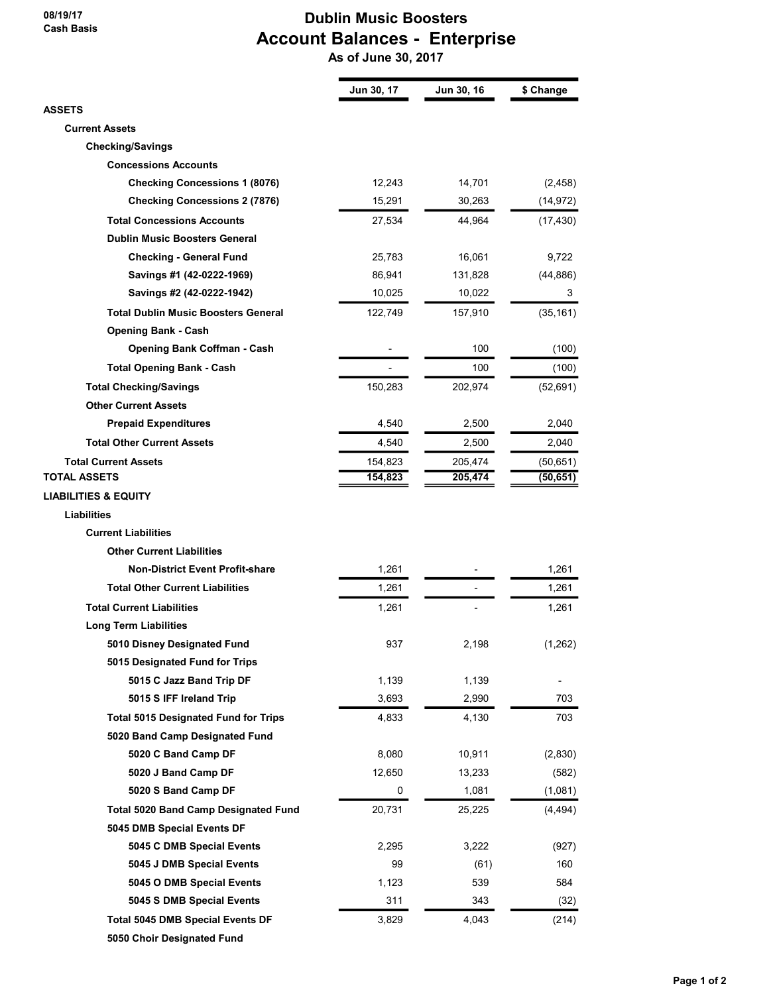## 08/19/17 Cash Basis

## Dublin Music Boosters Account Balances - Enterprise

As of June 30, 2017

|                                             | Jun 30, 17 | Jun 30, 16 | \$ Change |
|---------------------------------------------|------------|------------|-----------|
| <b>ASSETS</b>                               |            |            |           |
| <b>Current Assets</b>                       |            |            |           |
| <b>Checking/Savings</b>                     |            |            |           |
| <b>Concessions Accounts</b>                 |            |            |           |
| <b>Checking Concessions 1 (8076)</b>        | 12,243     | 14,701     | (2, 458)  |
| <b>Checking Concessions 2 (7876)</b>        | 15,291     | 30,263     | (14, 972) |
| <b>Total Concessions Accounts</b>           | 27,534     | 44,964     | (17, 430) |
| <b>Dublin Music Boosters General</b>        |            |            |           |
| <b>Checking - General Fund</b>              | 25,783     | 16,061     | 9,722     |
| Savings #1 (42-0222-1969)                   | 86,941     | 131,828    | (44, 886) |
| Savings #2 (42-0222-1942)                   | 10,025     | 10,022     | 3         |
| <b>Total Dublin Music Boosters General</b>  | 122,749    | 157,910    | (35, 161) |
| <b>Opening Bank - Cash</b>                  |            |            |           |
| <b>Opening Bank Coffman - Cash</b>          |            | 100        | (100)     |
| <b>Total Opening Bank - Cash</b>            |            | 100        | (100)     |
| <b>Total Checking/Savings</b>               | 150,283    | 202,974    | (52, 691) |
| <b>Other Current Assets</b>                 |            |            |           |
| <b>Prepaid Expenditures</b>                 | 4,540      | 2,500      | 2,040     |
| <b>Total Other Current Assets</b>           | 4,540      | 2,500      | 2,040     |
| <b>Total Current Assets</b>                 | 154,823    | 205,474    | (50, 651) |
| <b>TOTAL ASSETS</b>                         | 154,823    | 205,474    | (50, 651) |
| <b>LIABILITIES &amp; EQUITY</b>             |            |            |           |
| <b>Liabilities</b>                          |            |            |           |
| <b>Current Liabilities</b>                  |            |            |           |
| <b>Other Current Liabilities</b>            |            |            |           |
| <b>Non-District Event Profit-share</b>      | 1,261      |            | 1,261     |
| <b>Total Other Current Liabilities</b>      | 1,261      |            | 1,261     |
| <b>Total Current Liabilities</b>            | 1,261      |            | 1,261     |
| <b>Long Term Liabilities</b>                |            |            |           |
|                                             |            |            |           |
| 5010 Disney Designated Fund                 | 937        | 2,198      | (1, 262)  |
| 5015 Designated Fund for Trips              |            |            |           |
| 5015 C Jazz Band Trip DF                    | 1,139      | 1,139      |           |
| 5015 S IFF Ireland Trip                     | 3,693      | 2,990      | 703       |
| <b>Total 5015 Designated Fund for Trips</b> | 4,833      | 4,130      | 703       |
| 5020 Band Camp Designated Fund              |            |            |           |
| 5020 C Band Camp DF                         | 8,080      | 10,911     | (2,830)   |
| 5020 J Band Camp DF                         | 12,650     | 13,233     | (582)     |
| 5020 S Band Camp DF                         | 0          | 1,081      | (1,081)   |
| <b>Total 5020 Band Camp Designated Fund</b> | 20,731     | 25,225     | (4, 494)  |
| 5045 DMB Special Events DF                  |            |            |           |
| 5045 C DMB Special Events                   | 2,295      | 3,222      | (927)     |
| 5045 J DMB Special Events                   | 99         | (61)       | 160       |
| 5045 O DMB Special Events                   | 1,123      | 539        | 584       |
| 5045 S DMB Special Events                   | 311        | 343        | (32)      |
| <b>Total 5045 DMB Special Events DF</b>     | 3,829      | 4,043      | (214)     |
| 5050 Choir Designated Fund                  |            |            |           |